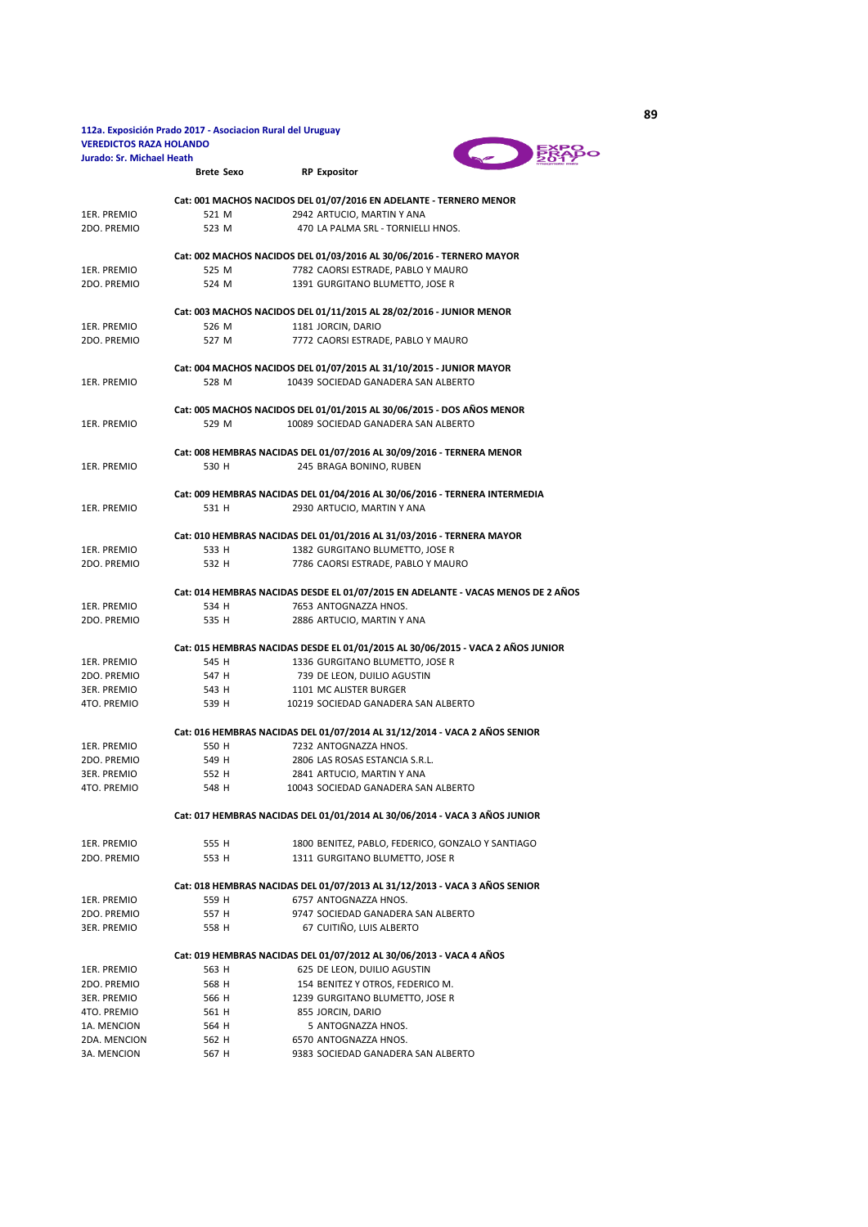## 112a. Exposición Prado 2017 - Asociacion Rural del Uruguay<br>VEREDICTOS RAZA HOLANDO Jurado: Sr. Michael Heath

**Brete Sexo** RP Expositor



|              |                                                                       | Cat: 001 MACHOS NACIDOS DEL 01/07/2016 EN ADELANTE - TERNERO MENOR               |  |  |
|--------------|-----------------------------------------------------------------------|----------------------------------------------------------------------------------|--|--|
| 1ER. PREMIO  | 521 M                                                                 | 2942 ARTUCIO, MARTIN Y ANA                                                       |  |  |
| 2DO. PREMIO  | 523 M                                                                 | 470 LA PALMA SRL - TORNIELLI HNOS.                                               |  |  |
|              |                                                                       | Cat: 002 MACHOS NACIDOS DEL 01/03/2016 AL 30/06/2016 - TERNERO MAYOR             |  |  |
| 1ER. PREMIO  | 525 M                                                                 | 7782 CAORSI ESTRADE, PABLO Y MAURO                                               |  |  |
| 2DO. PREMIO  | 524 M                                                                 | 1391 GURGITANO BLUMETTO, JOSE R                                                  |  |  |
|              |                                                                       |                                                                                  |  |  |
|              |                                                                       | Cat: 003 MACHOS NACIDOS DEL 01/11/2015 AL 28/02/2016 - JUNIOR MENOR              |  |  |
| 1ER. PREMIO  | 526 M                                                                 | 1181 JORCIN, DARIO                                                               |  |  |
| 2DO. PREMIO  | 527 M                                                                 | 7772 CAORSI ESTRADE, PABLO Y MAURO                                               |  |  |
|              |                                                                       | Cat: 004 MACHOS NACIDOS DEL 01/07/2015 AL 31/10/2015 - JUNIOR MAYOR              |  |  |
| 1ER. PREMIO  | 528 M                                                                 | 10439 SOCIEDAD GANADERA SAN ALBERTO                                              |  |  |
|              |                                                                       |                                                                                  |  |  |
|              |                                                                       | Cat: 005 MACHOS NACIDOS DEL 01/01/2015 AL 30/06/2015 - DOS AÑOS MENOR            |  |  |
| 1ER. PREMIO  | 529 M                                                                 | 10089 SOCIEDAD GANADERA SAN ALBERTO                                              |  |  |
|              |                                                                       |                                                                                  |  |  |
|              |                                                                       | Cat: 008 HEMBRAS NACIDAS DEL 01/07/2016 AL 30/09/2016 - TERNERA MENOR            |  |  |
| 1ER. PREMIO  | 530 H                                                                 | 245 BRAGA BONINO, RUBEN                                                          |  |  |
|              |                                                                       | Cat: 009 HEMBRAS NACIDAS DEL 01/04/2016 AL 30/06/2016 - TERNERA INTERMEDIA       |  |  |
| 1ER. PREMIO  | 531 H                                                                 | 2930 ARTUCIO, MARTIN Y ANA                                                       |  |  |
|              |                                                                       |                                                                                  |  |  |
|              | Cat: 010 HEMBRAS NACIDAS DEL 01/01/2016 AL 31/03/2016 - TERNERA MAYOR |                                                                                  |  |  |
| 1ER. PREMIO  | 533 H                                                                 | 1382 GURGITANO BLUMETTO, JOSE R                                                  |  |  |
| 2DO. PREMIO  | 532 H                                                                 | 7786 CAORSI ESTRADE, PABLO Y MAURO                                               |  |  |
|              |                                                                       |                                                                                  |  |  |
|              |                                                                       | Cat: 014 HEMBRAS NACIDAS DESDE EL 01/07/2015 EN ADELANTE - VACAS MENOS DE 2 AÑOS |  |  |
| 1ER. PREMIO  | 534 H                                                                 | 7653 ANTOGNAZZA HNOS.                                                            |  |  |
| 2DO. PREMIO  | 535 H                                                                 | 2886 ARTUCIO, MARTIN Y ANA                                                       |  |  |
|              |                                                                       | Cat: 015 HEMBRAS NACIDAS DESDE EL 01/01/2015 AL 30/06/2015 - VACA 2 AÑOS JUNIOR  |  |  |
| 1ER. PREMIO  | 545 H                                                                 | 1336 GURGITANO BLUMETTO, JOSE R                                                  |  |  |
| 2DO. PREMIO  | 547 H                                                                 | 739 DE LEON, DUILIO AGUSTIN                                                      |  |  |
| 3ER. PREMIO  | 543 H                                                                 | 1101 MC ALISTER BURGER                                                           |  |  |
| 4TO. PREMIO  | 539 H                                                                 | 10219 SOCIEDAD GANADERA SAN ALBERTO                                              |  |  |
|              |                                                                       |                                                                                  |  |  |
|              |                                                                       | Cat: 016 HEMBRAS NACIDAS DEL 01/07/2014 AL 31/12/2014 - VACA 2 AÑOS SENIOR       |  |  |
| 1ER. PREMIO  | 550 H                                                                 | 7232 ANTOGNAZZA HNOS.                                                            |  |  |
| 2DO. PREMIO  | 549 H                                                                 | 2806 LAS ROSAS ESTANCIA S.R.L.                                                   |  |  |
| 3ER. PREMIO  | 552 H                                                                 | 2841 ARTUCIO, MARTIN Y ANA                                                       |  |  |
| 4TO, PREMIO  | 548 H                                                                 | 10043 SOCIEDAD GANADERA SAN ALBERTO                                              |  |  |
|              |                                                                       | Cat: 017 HEMBRAS NACIDAS DEL 01/01/2014 AL 30/06/2014 - VACA 3 AÑOS JUNIOR       |  |  |
|              |                                                                       |                                                                                  |  |  |
| 1ER. PREMIO  | 555 H                                                                 | 1800 BENITEZ, PABLO, FEDERICO, GONZALO Y SANTIAGO                                |  |  |
| 2DO. PREMIO  | 553 H                                                                 | 1311 GURGITANO BLUMETTO, JOSE R                                                  |  |  |
|              |                                                                       |                                                                                  |  |  |
|              |                                                                       | Cat: 018 HEMBRAS NACIDAS DEL 01/07/2013 AL 31/12/2013 - VACA 3 AÑOS SENIOR       |  |  |
| 1ER. PREMIO  | 559 H                                                                 | 6757 ANTOGNAZZA HNOS.                                                            |  |  |
| 2DO. PREMIO  | 557 H                                                                 | 9747 SOCIEDAD GANADERA SAN ALBERTO                                               |  |  |
| 3ER. PREMIO  | 558 H                                                                 | 67 CUITIÑO, LUIS ALBERTO                                                         |  |  |
|              |                                                                       | Cat: 019 HEMBRAS NACIDAS DEL 01/07/2012 AL 30/06/2013 - VACA 4 AÑOS              |  |  |
| 1ER. PREMIO  | 563 H                                                                 | 625 DE LEON, DUILIO AGUSTIN                                                      |  |  |
| 2DO. PREMIO  | 568 H                                                                 | 154 BENITEZ Y OTROS, FEDERICO M.                                                 |  |  |
| 3ER. PREMIO  | 566 H                                                                 | 1239 GURGITANO BLUMETTO, JOSE R                                                  |  |  |
| 4TO. PREMIO  | 561 H                                                                 | 855 JORCIN, DARIO                                                                |  |  |
| 1A. MENCION  | 564 H                                                                 | 5 ANTOGNAZZA HNOS.                                                               |  |  |
| 2DA. MENCION | 562 H                                                                 | 6570 ANTOGNAZZA HNOS.                                                            |  |  |
| 3A. MENCION  | 567 H                                                                 | 9383 SOCIEDAD GANADERA SAN ALBERTO                                               |  |  |

89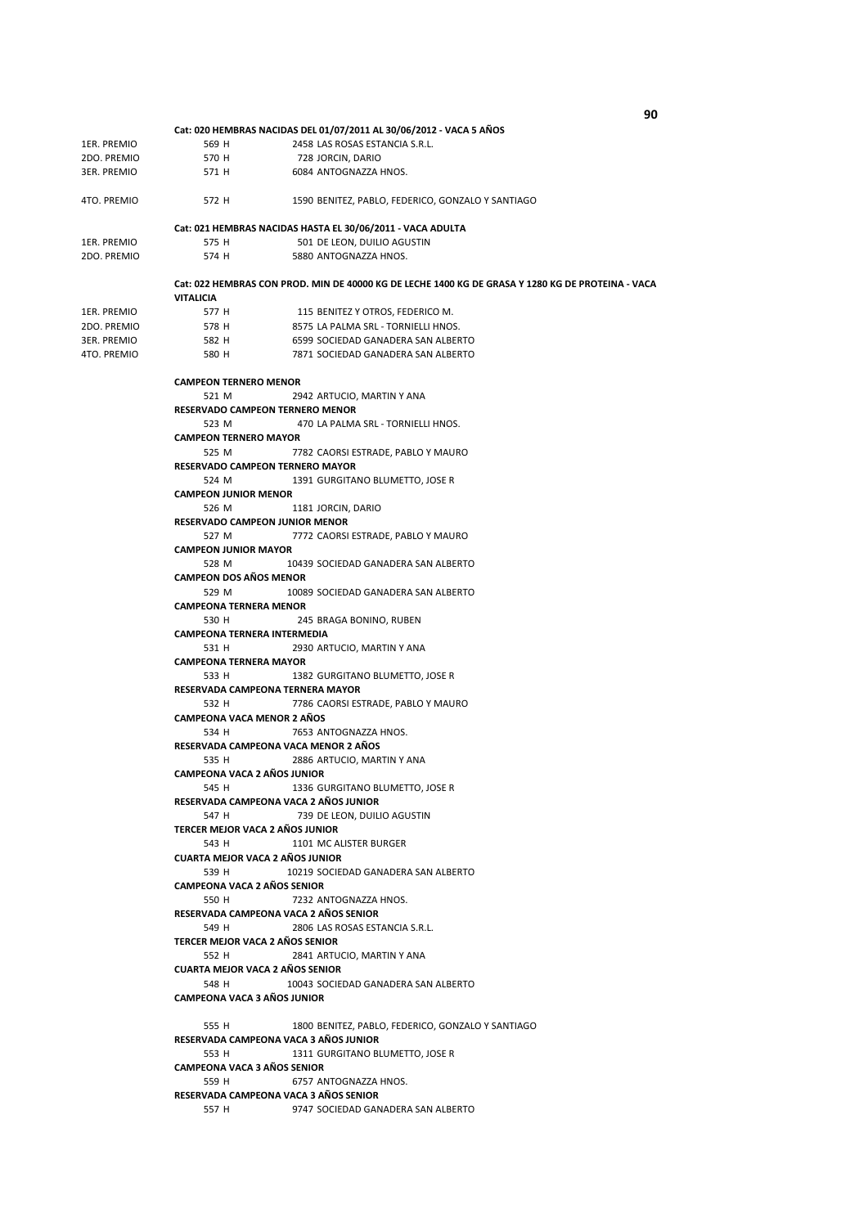|                            |                                                                      | Cat: 020 HEMBRAS NACIDAS DEL 01/07/2011 AL 30/06/2012 - VACA 5 AÑOS                               |  |  |
|----------------------------|----------------------------------------------------------------------|---------------------------------------------------------------------------------------------------|--|--|
| 1ER. PREMIO                | 569 H                                                                | 2458 LAS ROSAS ESTANCIA S.R.L.                                                                    |  |  |
| 2DO. PREMIO                | 570 H                                                                | 728 JORCIN, DARIO                                                                                 |  |  |
| 3ER. PREMIO                | 571 H                                                                | 6084 ANTOGNAZZA HNOS.                                                                             |  |  |
|                            |                                                                      |                                                                                                   |  |  |
| 4TO. PREMIO                | 572 H                                                                | 1590 BENITEZ, PABLO, FEDERICO, GONZALO Y SANTIAGO                                                 |  |  |
|                            |                                                                      | Cat: 021 HEMBRAS NACIDAS HASTA EL 30/06/2011 - VACA ADULTA                                        |  |  |
|                            | 575 H                                                                |                                                                                                   |  |  |
| 1ER. PREMIO<br>2DO. PREMIO | 574 H                                                                | 501 DE LEON, DUILIO AGUSTIN<br>5880 ANTOGNAZZA HNOS.                                              |  |  |
|                            |                                                                      |                                                                                                   |  |  |
|                            | <b>VITALICIA</b>                                                     | Cat: 022 HEMBRAS CON PROD. MIN DE 40000 KG DE LECHE 1400 KG DE GRASA Y 1280 KG DE PROTEINA - VACA |  |  |
|                            |                                                                      |                                                                                                   |  |  |
| 1ER. PREMIO                | 577 H                                                                | 115 BENITEZ Y OTROS, FEDERICO M.                                                                  |  |  |
| 2DO. PREMIO                | 578 H                                                                | 8575 LA PALMA SRL - TORNIELLI HNOS.                                                               |  |  |
| 3ER. PREMIO                | 582 H                                                                | 6599 SOCIEDAD GANADERA SAN ALBERTO                                                                |  |  |
| 4TO. PREMIO                | 580 H                                                                | 7871 SOCIEDAD GANADERA SAN ALBERTO                                                                |  |  |
|                            | <b>CAMPEON TERNERO MENOR</b>                                         |                                                                                                   |  |  |
|                            |                                                                      |                                                                                                   |  |  |
|                            | 521 M                                                                | 2942 ARTUCIO, MARTIN Y ANA                                                                        |  |  |
|                            | RESERVADO CAMPEON TERNERO MENOR                                      |                                                                                                   |  |  |
|                            | 523 M                                                                | 470 LA PALMA SRL - TORNIELLI HNOS.                                                                |  |  |
|                            | <b>CAMPEON TERNERO MAYOR</b>                                         |                                                                                                   |  |  |
|                            | 525 M                                                                | 7782 CAORSI ESTRADE, PABLO Y MAURO                                                                |  |  |
|                            | RESERVADO CAMPEON TERNERO MAYOR                                      |                                                                                                   |  |  |
|                            | 524 M                                                                | 1391 GURGITANO BLUMETTO, JOSE R                                                                   |  |  |
|                            | <b>CAMPEON JUNIOR MENOR</b>                                          |                                                                                                   |  |  |
|                            | 526 M                                                                | 1181 JORCIN, DARIO                                                                                |  |  |
|                            | <b>RESERVADO CAMPEON JUNIOR MENOR</b>                                |                                                                                                   |  |  |
|                            | 527 M                                                                | 7772 CAORSI ESTRADE, PABLO Y MAURO                                                                |  |  |
|                            | <b>CAMPEON JUNIOR MAYOR</b>                                          |                                                                                                   |  |  |
|                            | 528 M                                                                | 10439 SOCIEDAD GANADERA SAN ALBERTO                                                               |  |  |
|                            | <b>CAMPEON DOS AÑOS MENOR</b>                                        |                                                                                                   |  |  |
|                            | 529 M                                                                | 10089 SOCIEDAD GANADERA SAN ALBERTO                                                               |  |  |
|                            | <b>CAMPEONA TERNERA MENOR</b>                                        |                                                                                                   |  |  |
|                            | 530 H                                                                | 245 BRAGA BONINO, RUBEN                                                                           |  |  |
|                            | CAMPEONA TERNERA INTERMEDIA                                          |                                                                                                   |  |  |
|                            | 531 H                                                                | 2930 ARTUCIO, MARTIN Y ANA                                                                        |  |  |
|                            | <b>CAMPEONA TERNERA MAYOR</b>                                        |                                                                                                   |  |  |
|                            | 533 H                                                                | 1382 GURGITANO BLUMETTO, JOSE R                                                                   |  |  |
|                            | RESERVADA CAMPEONA TERNERA MAYOR                                     |                                                                                                   |  |  |
|                            | 532 H                                                                | 7786 CAORSI ESTRADE, PABLO Y MAURO                                                                |  |  |
|                            | <b>CAMPEONA VACA MENOR 2 AÑOS</b>                                    |                                                                                                   |  |  |
|                            |                                                                      | 7653 ANTOGNAZZA HNOS.                                                                             |  |  |
|                            | 534 H                                                                |                                                                                                   |  |  |
|                            |                                                                      | RESERVADA CAMPEONA VACA MENOR 2 AÑOS                                                              |  |  |
|                            | 535 H                                                                | 2886 ARTUCIO, MARTIN Y ANA                                                                        |  |  |
|                            | CAMPEONA VACA 2 AÑOS JUNIOR                                          |                                                                                                   |  |  |
|                            | 545 H                                                                | 1336 GURGITANO BLUMETTO, JOSE R                                                                   |  |  |
|                            |                                                                      | RESERVADA CAMPEONA VACA 2 AÑOS JUNIOR                                                             |  |  |
|                            | 547 H                                                                | 739 DE LEON, DUILIO AGUSTIN                                                                       |  |  |
|                            | TERCER MEJOR VACA 2 AÑOS JUNIOR                                      |                                                                                                   |  |  |
|                            | 543 H                                                                | 1101 MC ALISTER BURGER                                                                            |  |  |
|                            | <b>CUARTA MEJOR VACA 2 AÑOS JUNIOR</b>                               |                                                                                                   |  |  |
|                            | 539 H                                                                | 10219 SOCIEDAD GANADERA SAN ALBERTO                                                               |  |  |
|                            | <b>CAMPEONA VACA 2 AÑOS SENIOR</b>                                   |                                                                                                   |  |  |
|                            | 550 H                                                                | 7232 ANTOGNAZZA HNOS.                                                                             |  |  |
|                            |                                                                      | RESERVADA CAMPEONA VACA 2 AÑOS SENIOR                                                             |  |  |
|                            | 549 H                                                                | 2806 LAS ROSAS ESTANCIA S.R.L.                                                                    |  |  |
|                            | TERCER MEJOR VACA 2 AÑOS SENIOR                                      |                                                                                                   |  |  |
|                            | 552 H                                                                | 2841 ARTUCIO, MARTIN Y ANA                                                                        |  |  |
|                            | <b>CUARTA MEJOR VACA 2 AÑOS SENIOR</b>                               |                                                                                                   |  |  |
|                            | 548 H                                                                | 10043 SOCIEDAD GANADERA SAN ALBERTO                                                               |  |  |
|                            | <b>CAMPEONA VACA 3 AÑOS JUNIOR</b>                                   |                                                                                                   |  |  |
|                            | 555 H                                                                | 1800 BENITEZ, PABLO, FEDERICO, GONZALO Y SANTIAGO                                                 |  |  |
|                            |                                                                      | RESERVADA CAMPEONA VACA 3 AÑOS JUNIOR                                                             |  |  |
|                            |                                                                      |                                                                                                   |  |  |
|                            | 553 H                                                                | 1311 GURGITANO BLUMETTO, JOSE R                                                                   |  |  |
|                            | <b>CAMPEONA VACA 3 AÑOS SENIOR</b><br>6757 ANTOGNAZZA HNOS.<br>559 H |                                                                                                   |  |  |
|                            |                                                                      |                                                                                                   |  |  |
|                            |                                                                      | RESERVADA CAMPEONA VACA 3 AÑOS SENIOR                                                             |  |  |
|                            | 557 H                                                                | 9747 SOCIEDAD GANADERA SAN ALBERTO                                                                |  |  |